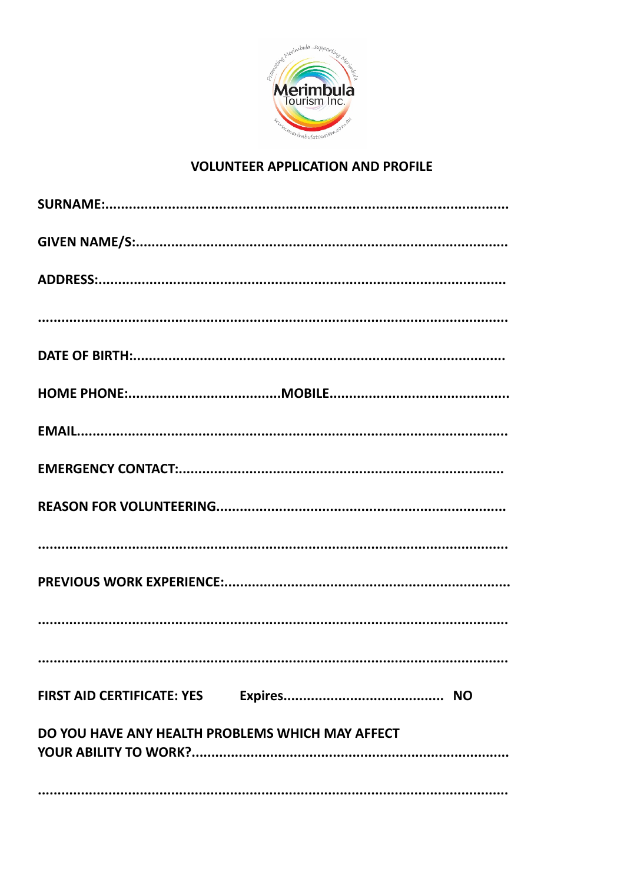

## **VOLUNTEER APPLICATION AND PROFILE**

| <b>FIRST AID CERTIFICATE: YES</b>                |
|--------------------------------------------------|
| DO YOU HAVE ANY HEALTH PROBLEMS WHICH MAY AFFECT |
|                                                  |